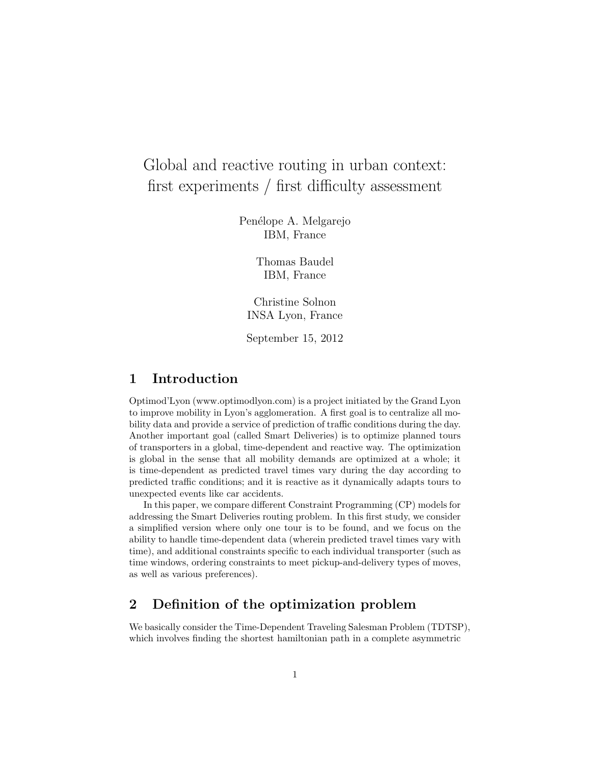# Global and reactive routing in urban context: first experiments / first difficulty assessment

Penélope A. Melgarejo IBM, France

> Thomas Baudel IBM, France

Christine Solnon INSA Lyon, France

September 15, 2012

# 1 Introduction

Optimod'Lyon (www.optimodlyon.com) is a project initiated by the Grand Lyon to improve mobility in Lyon's agglomeration. A first goal is to centralize all mobility data and provide a service of prediction of traffic conditions during the day. Another important goal (called Smart Deliveries) is to optimize planned tours of transporters in a global, time-dependent and reactive way. The optimization is global in the sense that all mobility demands are optimized at a whole; it is time-dependent as predicted travel times vary during the day according to predicted traffic conditions; and it is reactive as it dynamically adapts tours to unexpected events like car accidents.

In this paper, we compare different Constraint Programming (CP) models for addressing the Smart Deliveries routing problem. In this first study, we consider a simplified version where only one tour is to be found, and we focus on the ability to handle time-dependent data (wherein predicted travel times vary with time), and additional constraints specific to each individual transporter (such as time windows, ordering constraints to meet pickup-and-delivery types of moves, as well as various preferences).

# 2 Definition of the optimization problem

We basically consider the Time-Dependent Traveling Salesman Problem (TDTSP), which involves finding the shortest hamiltonian path in a complete asymmetric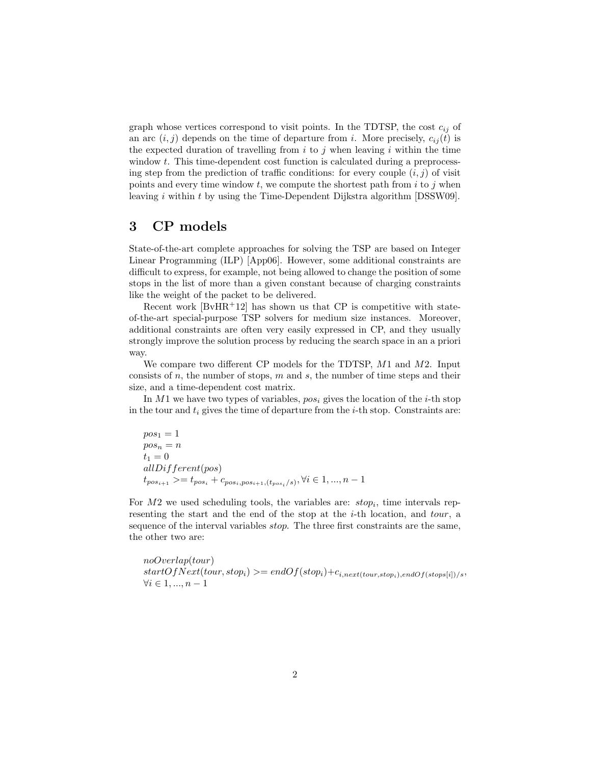graph whose vertices correspond to visit points. In the TDTSP, the cost  $c_{ij}$  of an arc  $(i, j)$  depends on the time of departure from i. More precisely,  $c_{ij}(t)$  is the expected duration of travelling from  $i$  to j when leaving i within the time window t. This time-dependent cost function is calculated during a preprocessing step from the prediction of traffic conditions: for every couple  $(i, j)$  of visit points and every time window  $t$ , we compute the shortest path from  $i$  to  $j$  when leaving i within t by using the Time-Dependent Dijkstra algorithm [DSSW09].

#### 3 CP models

State-of-the-art complete approaches for solving the TSP are based on Integer Linear Programming (ILP) [App06]. However, some additional constraints are difficult to express, for example, not being allowed to change the position of some stops in the list of more than a given constant because of charging constraints like the weight of the packet to be delivered.

Recent work  $[BvHR<sup>+</sup>12]$  has shown us that CP is competitive with stateof-the-art special-purpose TSP solvers for medium size instances. Moreover, additional constraints are often very easily expressed in CP, and they usually strongly improve the solution process by reducing the search space in an a priori way.

We compare two different CP models for the TDTSP, M1 and M2. Input consists of  $n$ , the number of stops,  $m$  and  $s$ , the number of time steps and their size, and a time-dependent cost matrix.

In M1 we have two types of variables,  $pos_i$  gives the location of the *i*-th stop in the tour and  $t_i$  gives the time of departure from the *i*-th stop. Constraints are:

$$
posn = 1\nposn = n\nt1 = 0\nallDiffferent(pos)\ntposi+1 > = tposi + cposi,posi+1, (tposi/s), \forall i \in 1, ..., n - 1
$$

For  $M2$  we used scheduling tools, the variables are:  $stop_i$ , time intervals representing the start and the end of the stop at the i-th location, and tour, a sequence of the interval variables stop. The three first constraints are the same, the other two are:

noOverlap(tour)  $startOfNext(tour, stop_i) \geq endOf(stop_i) + c_{i, next(tour, stop_i), endOf(stops[i])/s},$  $\forall i \in 1, ..., n-1$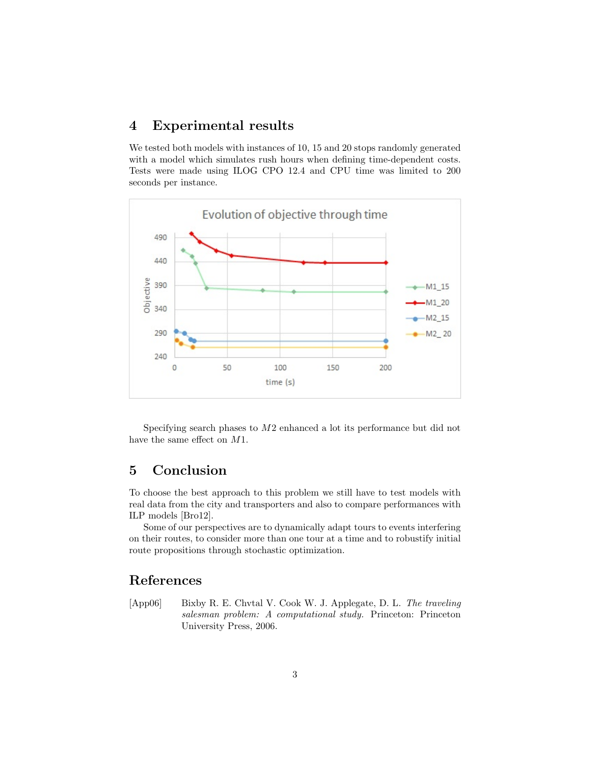### 4 Experimental results

We tested both models with instances of 10, 15 and 20 stops randomly generated with a model which simulates rush hours when defining time-dependent costs. Tests were made using ILOG CPO 12.4 and CPU time was limited to 200 seconds per instance.



Specifying search phases to M2 enhanced a lot its performance but did not have the same effect on M1.

# 5 Conclusion

To choose the best approach to this problem we still have to test models with real data from the city and transporters and also to compare performances with ILP models [Bro12].

Some of our perspectives are to dynamically adapt tours to events interfering on their routes, to consider more than one tour at a time and to robustify initial route propositions through stochastic optimization.

# References

[App06] Bixby R. E. Chvtal V. Cook W. J. Applegate, D. L. The traveling salesman problem: A computational study. Princeton: Princeton University Press, 2006.